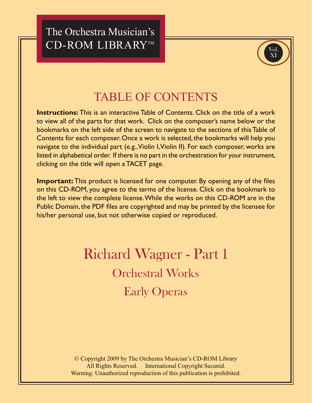The Orchestra Musician's CD-ROM LIBRARY™



## **TABLE OF CONTENTS**

**Instructions:** This is an interactive Table of Contents. Click on the title of a work to view all of the parts for that work. Click on the composer's name below or the bookmarks on the left side of the screen to navigate to the sections of this Table of Contents for each composer. Once a work is selected, the bookmarks will help you navigate to the individual part (e.g., Violin I, Violin II). For each composer, works are listed in alphabetical order. If there is no part in the orchestration for your instrument, clicking on the title will open a TACET page.

**Important:** This product is licensed for one computer. By opening any of the files on this CD-ROM, you agree to the terms of the license. Click on the bookmark to the left to view the complete license. While the works on this CD-ROM are in the Public Domain, the PDF files are copyrighted and may be printed by the licensee for his/her personal use, but not otherwise copied or reproduced.

## **Richard Wagner - Part 1 Orchestral Works Early Operas**

© Copyright 2009 by The Orchestra Musician's CD-ROM Library All Rights Reserved. International Copyright Secured. Warning: Unauthorized reproduction of this publication is prohibited.